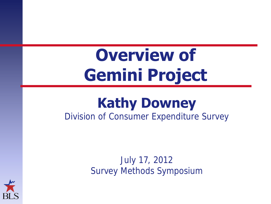#### **Overview of Gemini Project**

#### **Kathy Downey** Division of Consumer Expenditure Survey

July 17, 2012 Survey Methods Symposium

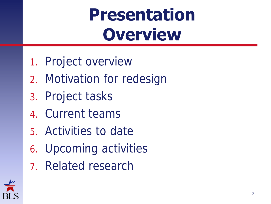#### **Presentation Overview**

- 1. Project overview
- 2. Motivation for redesign
- 3. Project tasks
- 4. Current teams
- 5. Activities to date
- 6. Upcoming activities
- 7. Related research

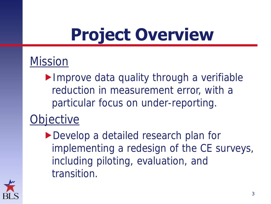## **Project Overview**

#### Mission

Improve data quality through a verifiable reduction in measurement error, with a particular focus on under-reporting.

#### jective

▶ Develop a detailed research plan for implementing a redesign of the CE surveys, including piloting, evaluation, and transition.

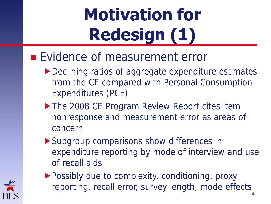# **Motivation for Redesign (1)**

#### **Evidence of measurement error**

- ▶ Declining ratios of aggregate expenditure estimates from the CE compared with Personal Consumption Expenditures (PCE)
- The 2008 CE Program Review Report cites item nonresponse and measurement error as areas of concern
- Subgroup comparisons show differences in expenditure reporting by mode of interview and use of recall aids
- ▶ Possibly due to complexity, conditioning, proxy reporting, recall error, survey length, mode effects 4

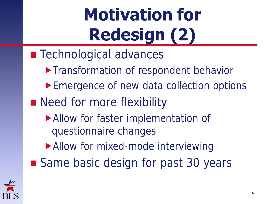# **Motivation for Redesign (2)**

- **Technological advances** 
	- **Transformation of respondent behavior**
	- ▶ Emergence of new data collection options
- Need for more flexibility
	- Allow for faster implementation of questionnaire changes
	- Allow for mixed-mode interviewing
- Same basic design for past 30 years

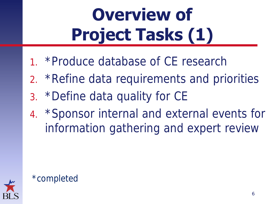# **Overview of Project Tasks (1)**

- 1. \*Produce database of CE research
- 2. \*Refine data requirements and priorities
- 3. \*Define data quality for CE
- 4. \*Sponsor internal and external events for information gathering and expert review



#### \*completed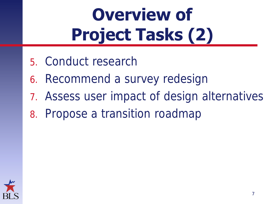# **Overview of Project Tasks (2)**

- 5. Conduct research
- 6. Recommend a survey redesign
- 7. Assess user impact of design alternatives
- 8. Propose a transition roadmap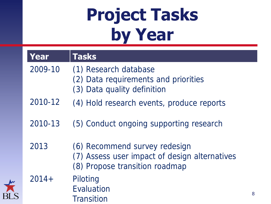#### **Project Tasks by Year**

| Year    | <b>Tasks</b>                                                                                                     |   |
|---------|------------------------------------------------------------------------------------------------------------------|---|
| 2009-10 | (1) Research database<br>(2) Data requirements and priorities<br>(3) Data quality definition                     |   |
| 2010-12 | (4) Hold research events, produce reports                                                                        |   |
| 2010-13 | (5) Conduct ongoing supporting research                                                                          |   |
| 2013    | (6) Recommend survey redesign<br>(7) Assess user impact of design alternatives<br>(8) Propose transition roadmap |   |
| $2014+$ | Piloting<br>Evaluation<br>Transition                                                                             | 8 |

 $\breve{\textbf{r}}$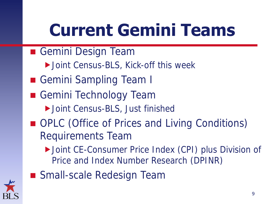## **Current Gemini Teams**

- Gemini Design Team
	- ▶ Joint Census-BLS, Kick-off this week
- Gemini Sampling Team I
- Gemini Technology Team
	- ▶ Joint Census-BLS, Just finished
- OPLC (Office of Prices and Living Conditions) Requirements Team
	- ▶ Joint CE-Consumer Price Index (CPI) plus Division of Price and Index Number Research (DPINR)



■ Small-scale Redesign Team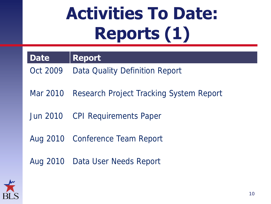## **Activities To Date: Reports (1)**

**Date Report**

Oct 2009 Data Quality Definition Report

Mar 2010 Research Project Tracking System Report

Jun 2010 CPI Requirements Paper

Aug 2010 Conference Team Report

Aug 2010 Data User Needs Report

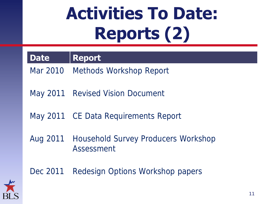## **Activities To Date: Reports (2)**

**Date Report**

Mar 2010 Methods Workshop Report

May 2011 Revised Vision Document

May 2011 CE Data Requirements Report

Aug 2011 Household Survey Producers Workshop Assessment

Dec 2011 Redesign Options Workshop papers

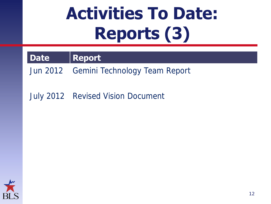## **Activities To Date: Reports (3)**

#### **Date Report**

Jun 2012 Gemini Technology Team Report

July 2012 Revised Vision Document

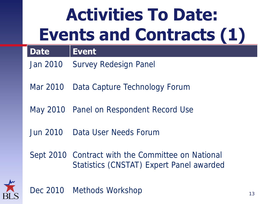#### **Activities To Date: Events and Contracts (1)**

#### **Date Event**

- Jan 2010 Survey Redesign Panel
- Mar 2010 Data Capture Technology Forum
- May 2010 Panel on Respondent Record Use
- Jun 2010 Data User Needs Forum
- Sept 2010 Contract with the Committee on National Statistics (CNSTAT) Expert Panel awarded



Dec 2010 Methods Workshop 13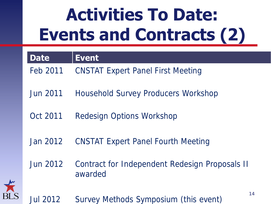## **Activities To Date: Events and Contracts (2)**

| <b>Date</b>     | <b>Event</b>                                              |
|-----------------|-----------------------------------------------------------|
| Feb 2011        | <b>CNSTAT Expert Panel First Meeting</b>                  |
| <b>Jun 2011</b> | Household Survey Producers Workshop                       |
| Oct 2011        | Redesign Options Workshop                                 |
| Jan 2012        | <b>CNSTAT Expert Panel Fourth Meeting</b>                 |
| Jun 2012        | Contract for Independent Redesign Proposals II<br>awarded |



14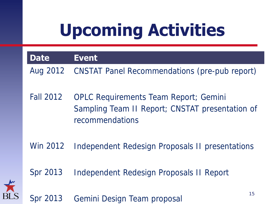# **Upcoming Activities**



Win 2012 Independent Redesign Proposals II presentations

Spr 2013 Independent Redesign Proposals II Report



Spr 2013 Gemini Design Team proposal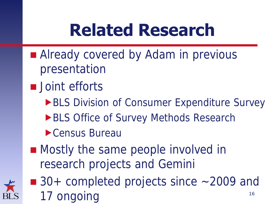#### **Related Research**

- Already covered by Adam in previous presentation
- **Joint efforts** 
	- **BLS Division of Consumer Expenditure Survey**
	- **BLS Office of Survey Methods Research**
	- Census Bureau
- Mostly the same people involved in research projects and Gemini
- 
- $\blacksquare$  30+ completed projects since  $\sim$  2009 and 17 ongoing 16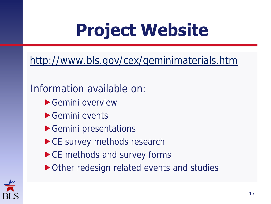### **Project Website**

<http://www.bls.gov/cex/geminimaterials.htm>

#### Information available on:

- Gemini overview
- Gemini events
- Gemini presentations
- ▶ CE survey methods research
- ▶ CE methods and survey forms
- ▶ Other redesign related events and studies